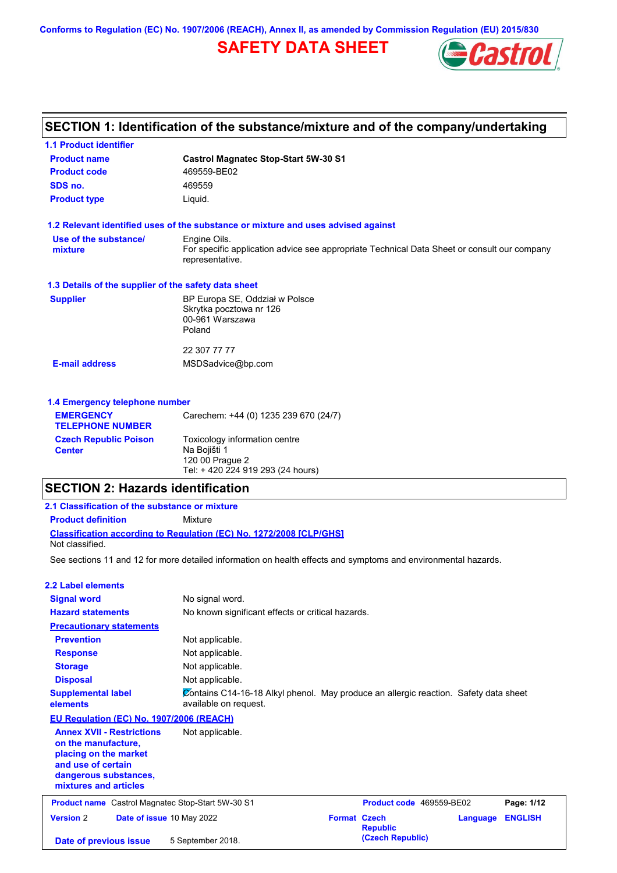**Conforms to Regulation (EC) No. 1907/2006 (REACH), Annex II, as amended by Commission Regulation (EU) 2015/830**

# **SAFETY DATA SHEET**



# **SECTION 1: Identification of the substance/mixture and of the company/undertaking**

| <b>1.1 Product identifier</b>                        |                                                                                                                                |
|------------------------------------------------------|--------------------------------------------------------------------------------------------------------------------------------|
| <b>Product name</b>                                  | <b>Castrol Magnatec Stop-Start 5W-30 S1</b>                                                                                    |
| <b>Product code</b>                                  | 469559-BE02                                                                                                                    |
| SDS no.                                              | 469559                                                                                                                         |
| <b>Product type</b>                                  | Liquid.                                                                                                                        |
|                                                      | 1.2 Relevant identified uses of the substance or mixture and uses advised against                                              |
| Use of the substance/<br>mixture                     | Engine Oils.<br>For specific application advice see appropriate Technical Data Sheet or consult our company<br>representative. |
| 1.3 Details of the supplier of the safety data sheet |                                                                                                                                |
| <b>Supplier</b>                                      | BP Europa SE, Oddział w Polsce<br>Skrytka pocztowa nr 126<br>00-961 Warszawa<br>Poland                                         |
|                                                      | 22 307 77 77                                                                                                                   |
| <b>E-mail address</b>                                | MSDSadvice@bp.com                                                                                                              |
| 1.4 Emergency telephone number                       |                                                                                                                                |
| <b>EMERGENCY</b><br><b>TELEPHONE NUMBER</b>          | Carechem: +44 (0) 1235 239 670 (24/7)                                                                                          |
| <b>Czech Republic Poison</b><br><b>Center</b>        | Toxicology information centre<br>Na Bojišti 1                                                                                  |

## **SECTION 2: Hazards identification**

120 00 Prague 2

Tel: + 420 224 919 293 (24 hours)

| SECTION 2: Hazards identification                                                                                                                        |                                                                                                                |                     |                          |          |                |
|----------------------------------------------------------------------------------------------------------------------------------------------------------|----------------------------------------------------------------------------------------------------------------|---------------------|--------------------------|----------|----------------|
| 2.1 Classification of the substance or mixture                                                                                                           |                                                                                                                |                     |                          |          |                |
| <b>Product definition</b>                                                                                                                                | Mixture                                                                                                        |                     |                          |          |                |
|                                                                                                                                                          | <b>Classification according to Regulation (EC) No. 1272/2008 [CLP/GHS]</b>                                     |                     |                          |          |                |
| Not classified.                                                                                                                                          |                                                                                                                |                     |                          |          |                |
|                                                                                                                                                          | See sections 11 and 12 for more detailed information on health effects and symptoms and environmental hazards. |                     |                          |          |                |
| 2.2 Label elements                                                                                                                                       |                                                                                                                |                     |                          |          |                |
| <b>Signal word</b>                                                                                                                                       | No signal word.                                                                                                |                     |                          |          |                |
| <b>Hazard statements</b>                                                                                                                                 | No known significant effects or critical hazards.                                                              |                     |                          |          |                |
| <b>Precautionary statements</b>                                                                                                                          |                                                                                                                |                     |                          |          |                |
| <b>Prevention</b>                                                                                                                                        | Not applicable.                                                                                                |                     |                          |          |                |
| <b>Response</b>                                                                                                                                          | Not applicable.                                                                                                |                     |                          |          |                |
| <b>Storage</b>                                                                                                                                           | Not applicable.                                                                                                |                     |                          |          |                |
| <b>Disposal</b>                                                                                                                                          | Not applicable.                                                                                                |                     |                          |          |                |
| <b>Supplemental label</b><br>elements                                                                                                                    | Contains C14-16-18 Alkyl phenol. May produce an allergic reaction. Safety data sheet<br>available on request.  |                     |                          |          |                |
| EU Regulation (EC) No. 1907/2006 (REACH)                                                                                                                 |                                                                                                                |                     |                          |          |                |
| <b>Annex XVII - Restrictions</b><br>on the manufacture,<br>placing on the market<br>and use of certain<br>dangerous substances,<br>mixtures and articles | Not applicable.                                                                                                |                     |                          |          |                |
| Product name Castrol Magnatec Stop-Start 5W-30 S1                                                                                                        |                                                                                                                |                     | Product code 469559-BE02 |          | Page: 1/12     |
| <b>Version 2</b>                                                                                                                                         | Date of issue 10 May 2022                                                                                      | <b>Format Czech</b> | <b>Republic</b>          | Language | <b>ENGLISH</b> |
| Date of previous issue                                                                                                                                   | 5 September 2018.                                                                                              |                     | (Czech Republic)         |          |                |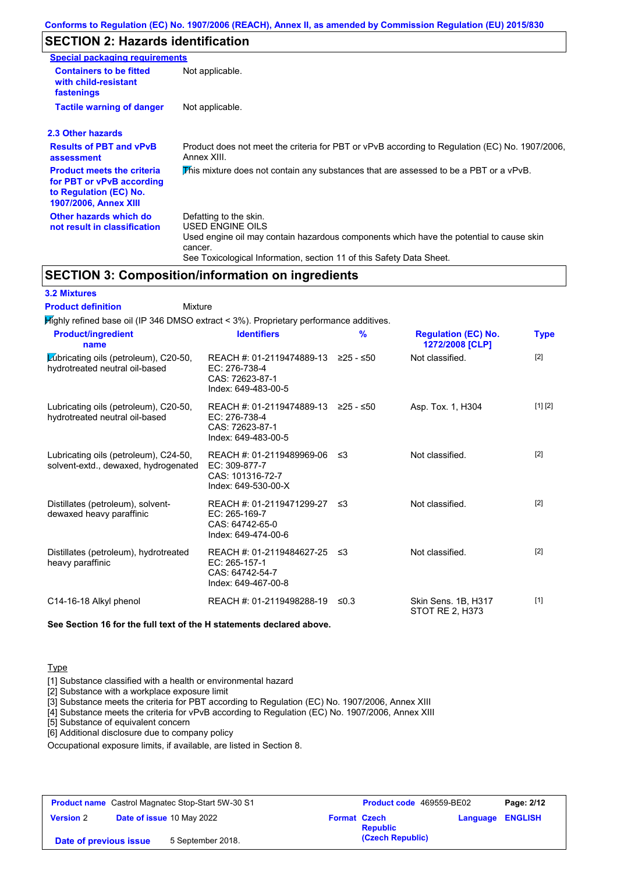### **Conforms to Regulation (EC) No. 1907/2006 (REACH), Annex II, as amended by Commission Regulation (EU) 2015/830**

## **SECTION 2: Hazards identification**

| <b>Special packaging requirements</b>                                                                                    |                                                                                                                                                                                                                          |
|--------------------------------------------------------------------------------------------------------------------------|--------------------------------------------------------------------------------------------------------------------------------------------------------------------------------------------------------------------------|
| <b>Containers to be fitted</b><br>with child-resistant<br>fastenings                                                     | Not applicable.                                                                                                                                                                                                          |
| <b>Tactile warning of danger</b>                                                                                         | Not applicable.                                                                                                                                                                                                          |
| 2.3 Other hazards                                                                                                        |                                                                                                                                                                                                                          |
| <b>Results of PBT and vPvB</b><br>assessment                                                                             | Product does not meet the criteria for PBT or vPvB according to Regulation (EC) No. 1907/2006,<br>Annex XIII.                                                                                                            |
| <b>Product meets the criteria</b><br>for PBT or vPvB according<br>to Regulation (EC) No.<br><b>1907/2006, Annex XIII</b> | This mixture does not contain any substances that are assessed to be a PBT or a vPvB.                                                                                                                                    |
| Other hazards which do<br>not result in classification                                                                   | Defatting to the skin.<br>USED ENGINE OILS<br>Used engine oil may contain hazardous components which have the potential to cause skin<br>cancer.<br>See Toxicological Information, section 11 of this Safety Data Sheet. |

## **SECTION 3: Composition/information on ingredients**

Mixture

#### **3.2 Mixtures**

**Product definition**

**Highly refined base oil (IP 346 DMSO extract < 3%). Proprietary performance additives.** 

| <b>Product/ingredient</b><br>name                                             | <b>Identifiers</b>                                                                     | $\frac{9}{6}$ | <b>Regulation (EC) No.</b><br>1272/2008 [CLP] | <b>Type</b> |
|-------------------------------------------------------------------------------|----------------------------------------------------------------------------------------|---------------|-----------------------------------------------|-------------|
| Lubricating oils (petroleum), C20-50,<br>hydrotreated neutral oil-based       | REACH #: 01-2119474889-13<br>$EC: 276-738-4$<br>CAS: 72623-87-1<br>Index: 649-483-00-5 | ≥25 - ≤50     | Not classified.                               | $[2]$       |
| Lubricating oils (petroleum), C20-50,<br>hydrotreated neutral oil-based       | REACH #: 01-2119474889-13<br>$EC: 276-738-4$<br>CAS: 72623-87-1<br>Index: 649-483-00-5 | ≥25 - ≤50     | Asp. Tox. 1, H304                             | [1] [2]     |
| Lubricating oils (petroleum), C24-50,<br>solvent-extd., dewaxed, hydrogenated | REACH #: 01-2119489969-06<br>EC: 309-877-7<br>CAS: 101316-72-7<br>Index: 649-530-00-X  | -≤3           | Not classified.                               | $[2]$       |
| Distillates (petroleum), solvent-<br>dewaxed heavy paraffinic                 | REACH #: 01-2119471299-27<br>$EC: 265-169-7$<br>CAS: 64742-65-0<br>Index: 649-474-00-6 | ึ ≤3          | Not classified.                               | $[2]$       |
| Distillates (petroleum), hydrotreated<br>heavy paraffinic                     | REACH #: 01-2119484627-25<br>EC: 265-157-1<br>CAS: 64742-54-7<br>Index: 649-467-00-8   | ึ ≤3          | Not classified.                               | $[2]$       |
| C14-16-18 Alkyl phenol                                                        | REACH #: 01-2119498288-19                                                              | $\leq 0.3$    | Skin Sens. 1B, H317<br>STOT RE 2, H373        | $[1]$       |

## **See Section 16 for the full text of the H statements declared above.**

### **Type**

[1] Substance classified with a health or environmental hazard

[2] Substance with a workplace exposure limit

[3] Substance meets the criteria for PBT according to Regulation (EC) No. 1907/2006, Annex XIII

[4] Substance meets the criteria for vPvB according to Regulation (EC) No. 1907/2006, Annex XIII

[5] Substance of equivalent concern

[6] Additional disclosure due to company policy

Occupational exposure limits, if available, are listed in Section 8.

| <b>Product name</b> Castrol Magnatec Stop-Start 5W-30 S1 |  | <b>Product code</b> 469559-BE02 |                     | Page: 2/12      |                         |  |
|----------------------------------------------------------|--|---------------------------------|---------------------|-----------------|-------------------------|--|
| <b>Version 2</b>                                         |  | Date of issue 10 May 2022       | <b>Format Czech</b> | <b>Republic</b> | <b>Language ENGLISH</b> |  |
| 5 September 2018.<br>Date of previous issue              |  |                                 | (Czech Republic)    |                 |                         |  |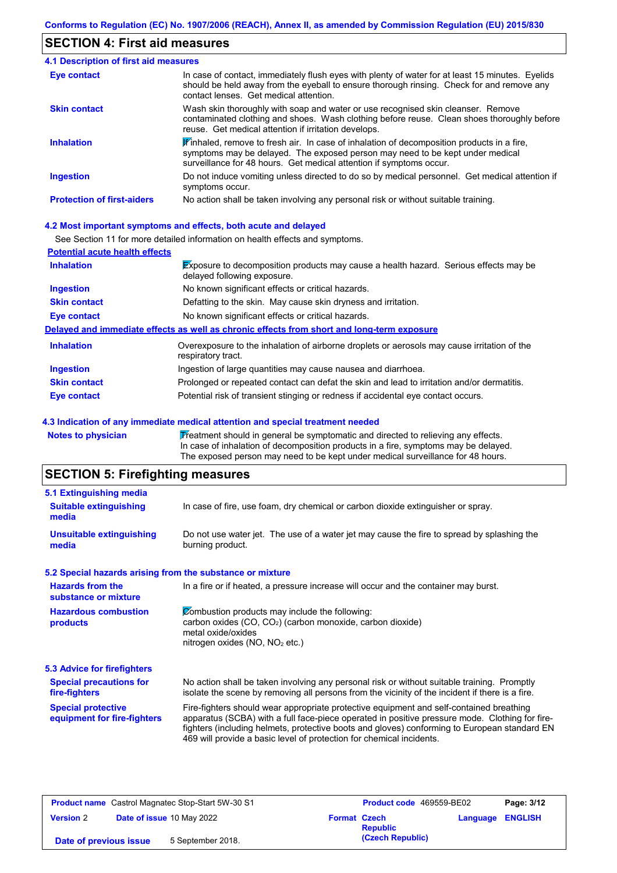## **SECTION 4: First aid measures**

| 4.1 Description of first aid measures |                                                                                                                                                                                                                                                               |
|---------------------------------------|---------------------------------------------------------------------------------------------------------------------------------------------------------------------------------------------------------------------------------------------------------------|
| Eye contact                           | In case of contact, immediately flush eyes with plenty of water for at least 15 minutes. Eyelids<br>should be held away from the eyeball to ensure thorough rinsing. Check for and remove any<br>contact lenses. Get medical attention.                       |
| <b>Skin contact</b>                   | Wash skin thoroughly with soap and water or use recognised skin cleanser. Remove<br>contaminated clothing and shoes. Wash clothing before reuse. Clean shoes thoroughly before<br>reuse. Get medical attention if irritation develops.                        |
| <b>Inhalation</b>                     | $\mathbf{F}$ inhaled, remove to fresh air. In case of inhalation of decomposition products in a fire,<br>symptoms may be delayed. The exposed person may need to be kept under medical<br>surveillance for 48 hours. Get medical attention if symptoms occur. |
| <b>Ingestion</b>                      | Do not induce vomiting unless directed to do so by medical personnel. Get medical attention if<br>symptoms occur.                                                                                                                                             |
| <b>Protection of first-aiders</b>     | No action shall be taken involving any personal risk or without suitable training.                                                                                                                                                                            |

### **4.2 Most important symptoms and effects, both acute and delayed**

See Section 11 for more detailed information on health effects and symptoms.

| <b>Potential acute health effects</b> |                                                                                                                            |
|---------------------------------------|----------------------------------------------------------------------------------------------------------------------------|
| <b>Inhalation</b>                     | <b>Exposure to decomposition products may cause a health hazard. Serious effects may be</b><br>delayed following exposure. |
| <b>Ingestion</b>                      | No known significant effects or critical hazards.                                                                          |
| <b>Skin contact</b>                   | Defatting to the skin. May cause skin dryness and irritation.                                                              |
| Eye contact                           | No known significant effects or critical hazards.                                                                          |
|                                       | Delayed and immediate effects as well as chronic effects from short and long-term exposure                                 |
| <b>Inhalation</b>                     | Overexposure to the inhalation of airborne droplets or aerosols may cause irritation of the<br>respiratory tract.          |
| <b>Ingestion</b>                      | Ingestion of large quantities may cause nausea and diarrhoea.                                                              |
| <b>Skin contact</b>                   | Prolonged or repeated contact can defat the skin and lead to irritation and/or dermatitis.                                 |
| Eye contact                           | Potential risk of transient stinging or redness if accidental eye contact occurs.                                          |

#### **4.3 Indication of any immediate medical attention and special treatment needed**

Notes to physician **Treatment should in general be symptomatic and directed to relieving any effects.** In case of inhalation of decomposition products in a fire, symptoms may be delayed. The exposed person may need to be kept under medical surveillance for 48 hours.

# **SECTION 5: Firefighting measures**

| 5.1 Extinguishing media                                   |                                                                                                                                                                                                                                                                                                                                                                   |
|-----------------------------------------------------------|-------------------------------------------------------------------------------------------------------------------------------------------------------------------------------------------------------------------------------------------------------------------------------------------------------------------------------------------------------------------|
| <b>Suitable extinguishing</b><br>media                    | In case of fire, use foam, dry chemical or carbon dioxide extinguisher or spray.                                                                                                                                                                                                                                                                                  |
| <b>Unsuitable extinguishing</b><br>media                  | Do not use water jet. The use of a water jet may cause the fire to spread by splashing the<br>burning product.                                                                                                                                                                                                                                                    |
| 5.2 Special hazards arising from the substance or mixture |                                                                                                                                                                                                                                                                                                                                                                   |
| <b>Hazards from the</b><br>substance or mixture           | In a fire or if heated, a pressure increase will occur and the container may burst.                                                                                                                                                                                                                                                                               |
| <b>Hazardous combustion</b>                               | Combustion products may include the following:                                                                                                                                                                                                                                                                                                                    |
| products                                                  | carbon oxides (CO, CO <sub>2</sub> ) (carbon monoxide, carbon dioxide)<br>metal oxide/oxides                                                                                                                                                                                                                                                                      |
|                                                           | nitrogen oxides ( $NO$ , $NO2$ etc.)                                                                                                                                                                                                                                                                                                                              |
| 5.3 Advice for firefighters                               |                                                                                                                                                                                                                                                                                                                                                                   |
| <b>Special precautions for</b><br>fire-fighters           | No action shall be taken involving any personal risk or without suitable training. Promptly<br>isolate the scene by removing all persons from the vicinity of the incident if there is a fire.                                                                                                                                                                    |
| <b>Special protective</b><br>equipment for fire-fighters  | Fire-fighters should wear appropriate protective equipment and self-contained breathing<br>apparatus (SCBA) with a full face-piece operated in positive pressure mode. Clothing for fire-<br>fighters (including helmets, protective boots and gloves) conforming to European standard EN<br>469 will provide a basic level of protection for chemical incidents. |
|                                                           |                                                                                                                                                                                                                                                                                                                                                                   |

| <b>Product name</b> Castrol Magnatec Stop-Start 5W-30 S1 |  | <b>Product code</b> 469559-BE02 |                     | Page: 3/12       |                         |  |
|----------------------------------------------------------|--|---------------------------------|---------------------|------------------|-------------------------|--|
| <b>Version 2</b>                                         |  | Date of issue 10 May 2022       | <b>Format Czech</b> | <b>Republic</b>  | <b>Language ENGLISH</b> |  |
| Date of previous issue                                   |  | 5 September 2018.               |                     | (Czech Republic) |                         |  |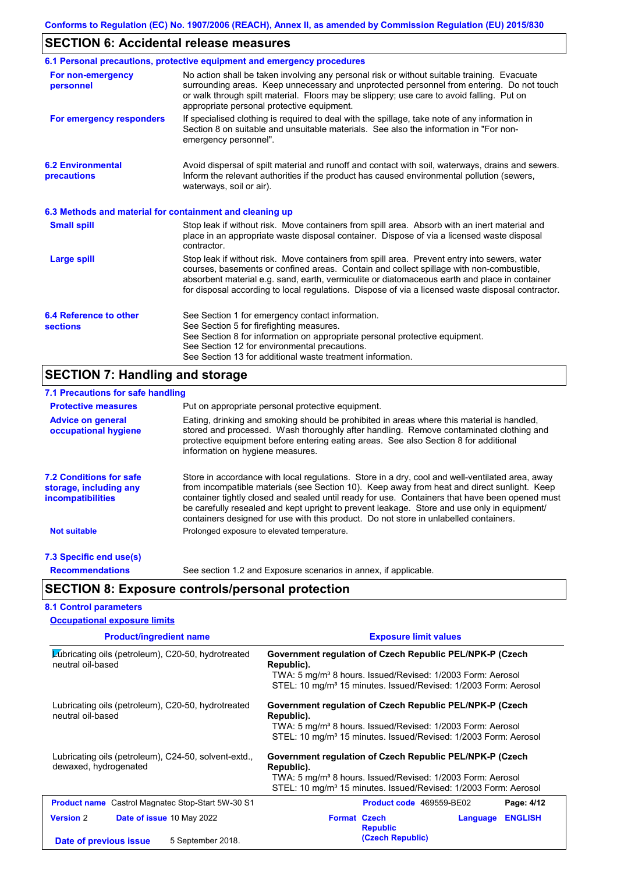## **SECTION 6: Accidental release measures**

|                                                          | 6.1 Personal precautions, protective equipment and emergency procedures                                                                                                                                                                                                                                                                                                                        |
|----------------------------------------------------------|------------------------------------------------------------------------------------------------------------------------------------------------------------------------------------------------------------------------------------------------------------------------------------------------------------------------------------------------------------------------------------------------|
| For non-emergency<br>personnel                           | No action shall be taken involving any personal risk or without suitable training. Evacuate<br>surrounding areas. Keep unnecessary and unprotected personnel from entering. Do not touch<br>or walk through spilt material. Floors may be slippery; use care to avoid falling. Put on<br>appropriate personal protective equipment.                                                            |
| For emergency responders                                 | If specialised clothing is required to deal with the spillage, take note of any information in<br>Section 8 on suitable and unsuitable materials. See also the information in "For non-<br>emergency personnel".                                                                                                                                                                               |
| <b>6.2 Environmental</b><br>precautions                  | Avoid dispersal of spilt material and runoff and contact with soil, waterways, drains and sewers.<br>Inform the relevant authorities if the product has caused environmental pollution (sewers,<br>waterways, soil or air).                                                                                                                                                                    |
| 6.3 Methods and material for containment and cleaning up |                                                                                                                                                                                                                                                                                                                                                                                                |
| <b>Small spill</b>                                       | Stop leak if without risk. Move containers from spill area. Absorb with an inert material and<br>place in an appropriate waste disposal container. Dispose of via a licensed waste disposal<br>contractor.                                                                                                                                                                                     |
| Large spill                                              | Stop leak if without risk. Move containers from spill area. Prevent entry into sewers, water<br>courses, basements or confined areas. Contain and collect spillage with non-combustible,<br>absorbent material e.g. sand, earth, vermiculite or diatomaceous earth and place in container<br>for disposal according to local regulations. Dispose of via a licensed waste disposal contractor. |
| 6.4 Reference to other<br><b>sections</b>                | See Section 1 for emergency contact information.<br>See Section 5 for firefighting measures.<br>See Section 8 for information on appropriate personal protective equipment.<br>See Section 12 for environmental precautions.<br>See Section 13 for additional waste treatment information.                                                                                                     |

# **SECTION 7: Handling and storage**

**Occupational exposure limits**

| 7.1 Precautions for safe handling                                                    |                                                                                                                                                                                                                                                                                                                                                                                                                                                                                          |
|--------------------------------------------------------------------------------------|------------------------------------------------------------------------------------------------------------------------------------------------------------------------------------------------------------------------------------------------------------------------------------------------------------------------------------------------------------------------------------------------------------------------------------------------------------------------------------------|
| <b>Protective measures</b>                                                           | Put on appropriate personal protective equipment.                                                                                                                                                                                                                                                                                                                                                                                                                                        |
| <b>Advice on general</b><br>occupational hygiene                                     | Eating, drinking and smoking should be prohibited in areas where this material is handled,<br>stored and processed. Wash thoroughly after handling. Remove contaminated clothing and<br>protective equipment before entering eating areas. See also Section 8 for additional<br>information on hygiene measures.                                                                                                                                                                         |
| <b>7.2 Conditions for safe</b><br>storage, including any<br><i>incompatibilities</i> | Store in accordance with local regulations. Store in a dry, cool and well-ventilated area, away<br>from incompatible materials (see Section 10). Keep away from heat and direct sunlight. Keep<br>container tightly closed and sealed until ready for use. Containers that have been opened must<br>be carefully resealed and kept upright to prevent leakage. Store and use only in equipment/<br>containers designed for use with this product. Do not store in unlabelled containers. |
| <b>Not suitable</b>                                                                  | Prolonged exposure to elevated temperature.                                                                                                                                                                                                                                                                                                                                                                                                                                              |
| 7.3 Specific end use(s)                                                              |                                                                                                                                                                                                                                                                                                                                                                                                                                                                                          |
| <b>Recommendations</b>                                                               | See section 1.2 and Exposure scenarios in annex, if applicable.                                                                                                                                                                                                                                                                                                                                                                                                                          |
|                                                                                      | <b>SECTION 8: Exposure controls/personal protection</b>                                                                                                                                                                                                                                                                                                                                                                                                                                  |
| <b>8.1 Control parameters</b>                                                        |                                                                                                                                                                                                                                                                                                                                                                                                                                                                                          |

| <b>Product/ingredient name</b>                                                 | <b>Exposure limit values</b>                                                                                                                                                                                                    |  |  |  |
|--------------------------------------------------------------------------------|---------------------------------------------------------------------------------------------------------------------------------------------------------------------------------------------------------------------------------|--|--|--|
| <b>∠ubricating oils (petroleum), C20-50, hydrotreated</b><br>neutral oil-based | Government regulation of Czech Republic PEL/NPK-P (Czech<br>Republic).<br>TWA: 5 mg/m <sup>3</sup> 8 hours. Issued/Revised: 1/2003 Form: Aerosol<br>STEL: 10 mg/m <sup>3</sup> 15 minutes. Issued/Revised: 1/2003 Form: Aerosol |  |  |  |
| Lubricating oils (petroleum), C20-50, hydrotreated<br>neutral oil-based        | Government regulation of Czech Republic PEL/NPK-P (Czech<br>Republic).<br>TWA: 5 mg/m <sup>3</sup> 8 hours. Issued/Revised: 1/2003 Form: Aerosol<br>STEL: 10 mg/m <sup>3</sup> 15 minutes. Issued/Revised: 1/2003 Form: Aerosol |  |  |  |
| Lubricating oils (petroleum), C24-50, solvent-extd.,<br>dewaxed, hydrogenated  | Government regulation of Czech Republic PEL/NPK-P (Czech<br>Republic).<br>TWA: 5 mg/m <sup>3</sup> 8 hours. Issued/Revised: 1/2003 Form: Aerosol<br>STEL: 10 mg/m <sup>3</sup> 15 minutes. Issued/Revised: 1/2003 Form: Aerosol |  |  |  |
| <b>Product name</b> Castrol Magnatec Stop-Start 5W-30 S1                       | <b>Product code</b> 469559-BE02<br>Page: 4/12                                                                                                                                                                                   |  |  |  |
| <b>Version 2</b><br><b>Date of issue 10 May 2022</b>                           | <b>Format Czech</b><br><b>ENGLISH</b><br>Language<br><b>Republic</b>                                                                                                                                                            |  |  |  |
| 5 September 2018.<br>Date of previous issue                                    | (Czech Republic)                                                                                                                                                                                                                |  |  |  |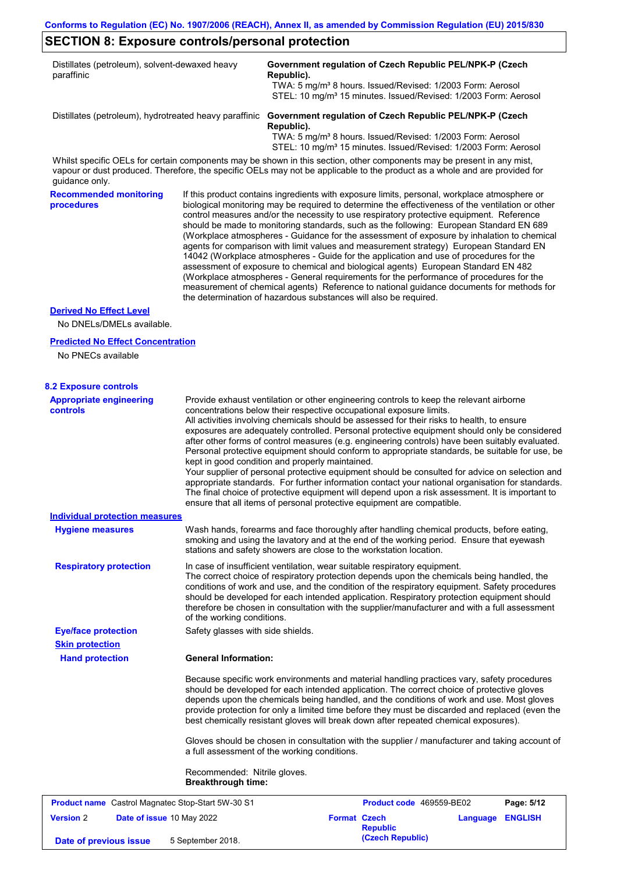# **SECTION 8: Exposure controls/personal protection**

**Date of previous issue** 5 September 2018.

| Distillates (petroleum), solvent-dewaxed heavy<br>paraffinic                                                                                                                                                                                                           |                                                           | Government regulation of Czech Republic PEL/NPK-P (Czech<br>Republic).                                                                                                                                                                                                                                                                                                                                                                                                                                                                                                                                                                                                                                                                                                                                                                                                                                                                                                                                                     | TWA: 5 mg/m <sup>3</sup> 8 hours. Issued/Revised: 1/2003 Form: Aerosol<br>STEL: 10 mg/m <sup>3</sup> 15 minutes. Issued/Revised: 1/2003 Form: Aerosol |          |                |
|------------------------------------------------------------------------------------------------------------------------------------------------------------------------------------------------------------------------------------------------------------------------|-----------------------------------------------------------|----------------------------------------------------------------------------------------------------------------------------------------------------------------------------------------------------------------------------------------------------------------------------------------------------------------------------------------------------------------------------------------------------------------------------------------------------------------------------------------------------------------------------------------------------------------------------------------------------------------------------------------------------------------------------------------------------------------------------------------------------------------------------------------------------------------------------------------------------------------------------------------------------------------------------------------------------------------------------------------------------------------------------|-------------------------------------------------------------------------------------------------------------------------------------------------------|----------|----------------|
| Distillates (petroleum), hydrotreated heavy paraffinic                                                                                                                                                                                                                 |                                                           | Government regulation of Czech Republic PEL/NPK-P (Czech<br>Republic).                                                                                                                                                                                                                                                                                                                                                                                                                                                                                                                                                                                                                                                                                                                                                                                                                                                                                                                                                     | TWA: 5 mg/m <sup>3</sup> 8 hours. Issued/Revised: 1/2003 Form: Aerosol<br>STEL: 10 mg/m <sup>3</sup> 15 minutes. Issued/Revised: 1/2003 Form: Aerosol |          |                |
| Whilst specific OELs for certain components may be shown in this section, other components may be present in any mist,<br>vapour or dust produced. Therefore, the specific OELs may not be applicable to the product as a whole and are provided for<br>guidance only. |                                                           |                                                                                                                                                                                                                                                                                                                                                                                                                                                                                                                                                                                                                                                                                                                                                                                                                                                                                                                                                                                                                            |                                                                                                                                                       |          |                |
| <b>Recommended monitoring</b><br>procedures                                                                                                                                                                                                                            |                                                           | If this product contains ingredients with exposure limits, personal, workplace atmosphere or<br>biological monitoring may be required to determine the effectiveness of the ventilation or other<br>control measures and/or the necessity to use respiratory protective equipment. Reference<br>should be made to monitoring standards, such as the following: European Standard EN 689<br>(Workplace atmospheres - Guidance for the assessment of exposure by inhalation to chemical<br>agents for comparison with limit values and measurement strategy) European Standard EN<br>14042 (Workplace atmospheres - Guide for the application and use of procedures for the<br>assessment of exposure to chemical and biological agents) European Standard EN 482<br>(Workplace atmospheres - General requirements for the performance of procedures for the<br>measurement of chemical agents) Reference to national guidance documents for methods for<br>the determination of hazardous substances will also be required. |                                                                                                                                                       |          |                |
| <b>Derived No Effect Level</b><br>No DNELs/DMELs available.                                                                                                                                                                                                            |                                                           |                                                                                                                                                                                                                                                                                                                                                                                                                                                                                                                                                                                                                                                                                                                                                                                                                                                                                                                                                                                                                            |                                                                                                                                                       |          |                |
| <b>Predicted No Effect Concentration</b>                                                                                                                                                                                                                               |                                                           |                                                                                                                                                                                                                                                                                                                                                                                                                                                                                                                                                                                                                                                                                                                                                                                                                                                                                                                                                                                                                            |                                                                                                                                                       |          |                |
| No PNECs available                                                                                                                                                                                                                                                     |                                                           |                                                                                                                                                                                                                                                                                                                                                                                                                                                                                                                                                                                                                                                                                                                                                                                                                                                                                                                                                                                                                            |                                                                                                                                                       |          |                |
|                                                                                                                                                                                                                                                                        |                                                           |                                                                                                                                                                                                                                                                                                                                                                                                                                                                                                                                                                                                                                                                                                                                                                                                                                                                                                                                                                                                                            |                                                                                                                                                       |          |                |
| <b>8.2 Exposure controls</b><br><b>Appropriate engineering</b>                                                                                                                                                                                                         |                                                           | Provide exhaust ventilation or other engineering controls to keep the relevant airborne                                                                                                                                                                                                                                                                                                                                                                                                                                                                                                                                                                                                                                                                                                                                                                                                                                                                                                                                    |                                                                                                                                                       |          |                |
| <b>controls</b>                                                                                                                                                                                                                                                        |                                                           | concentrations below their respective occupational exposure limits.<br>All activities involving chemicals should be assessed for their risks to health, to ensure<br>exposures are adequately controlled. Personal protective equipment should only be considered<br>after other forms of control measures (e.g. engineering controls) have been suitably evaluated.<br>Personal protective equipment should conform to appropriate standards, be suitable for use, be<br>kept in good condition and properly maintained.<br>Your supplier of personal protective equipment should be consulted for advice on selection and<br>appropriate standards. For further information contact your national organisation for standards.<br>The final choice of protective equipment will depend upon a risk assessment. It is important to<br>ensure that all items of personal protective equipment are compatible.                                                                                                               |                                                                                                                                                       |          |                |
| Individual protection measures                                                                                                                                                                                                                                         |                                                           |                                                                                                                                                                                                                                                                                                                                                                                                                                                                                                                                                                                                                                                                                                                                                                                                                                                                                                                                                                                                                            |                                                                                                                                                       |          |                |
| <b>Hygiene measures</b>                                                                                                                                                                                                                                                |                                                           | Wash hands, forearms and face thoroughly after handling chemical products, before eating,<br>smoking and using the lavatory and at the end of the working period. Ensure that eyewash<br>stations and safety showers are close to the workstation location.                                                                                                                                                                                                                                                                                                                                                                                                                                                                                                                                                                                                                                                                                                                                                                |                                                                                                                                                       |          |                |
| <b>Respiratory protection</b>                                                                                                                                                                                                                                          | of the working conditions.                                | In case of insufficient ventilation, wear suitable respiratory equipment.<br>The correct choice of respiratory protection depends upon the chemicals being handled, the<br>conditions of work and use, and the condition of the respiratory equipment. Safety procedures<br>should be developed for each intended application. Respiratory protection equipment should<br>therefore be chosen in consultation with the supplier/manufacturer and with a full assessment                                                                                                                                                                                                                                                                                                                                                                                                                                                                                                                                                    |                                                                                                                                                       |          |                |
| <b>Eye/face protection</b>                                                                                                                                                                                                                                             | Safety glasses with side shields.                         |                                                                                                                                                                                                                                                                                                                                                                                                                                                                                                                                                                                                                                                                                                                                                                                                                                                                                                                                                                                                                            |                                                                                                                                                       |          |                |
| <b>Skin protection</b><br><b>Hand protection</b>                                                                                                                                                                                                                       | <b>General Information:</b>                               |                                                                                                                                                                                                                                                                                                                                                                                                                                                                                                                                                                                                                                                                                                                                                                                                                                                                                                                                                                                                                            |                                                                                                                                                       |          |                |
|                                                                                                                                                                                                                                                                        |                                                           | Because specific work environments and material handling practices vary, safety procedures<br>should be developed for each intended application. The correct choice of protective gloves<br>depends upon the chemicals being handled, and the conditions of work and use. Most gloves<br>provide protection for only a limited time before they must be discarded and replaced (even the<br>best chemically resistant gloves will break down after repeated chemical exposures).                                                                                                                                                                                                                                                                                                                                                                                                                                                                                                                                           |                                                                                                                                                       |          |                |
|                                                                                                                                                                                                                                                                        |                                                           | Gloves should be chosen in consultation with the supplier / manufacturer and taking account of<br>a full assessment of the working conditions.                                                                                                                                                                                                                                                                                                                                                                                                                                                                                                                                                                                                                                                                                                                                                                                                                                                                             |                                                                                                                                                       |          |                |
|                                                                                                                                                                                                                                                                        | Recommended: Nitrile gloves.<br><b>Breakthrough time:</b> |                                                                                                                                                                                                                                                                                                                                                                                                                                                                                                                                                                                                                                                                                                                                                                                                                                                                                                                                                                                                                            |                                                                                                                                                       |          |                |
| Product name Castrol Magnatec Stop-Start 5W-30 S1                                                                                                                                                                                                                      |                                                           |                                                                                                                                                                                                                                                                                                                                                                                                                                                                                                                                                                                                                                                                                                                                                                                                                                                                                                                                                                                                                            | Product code 469559-BE02                                                                                                                              |          | Page: 5/12     |
| <b>Version 2</b><br>Date of issue 10 May 2022<br>Date of previous issue                                                                                                                                                                                                | 5 September 2018.                                         | <b>Format Czech</b>                                                                                                                                                                                                                                                                                                                                                                                                                                                                                                                                                                                                                                                                                                                                                                                                                                                                                                                                                                                                        | <b>Republic</b><br>(Czech Republic)                                                                                                                   | Language | <b>ENGLISH</b> |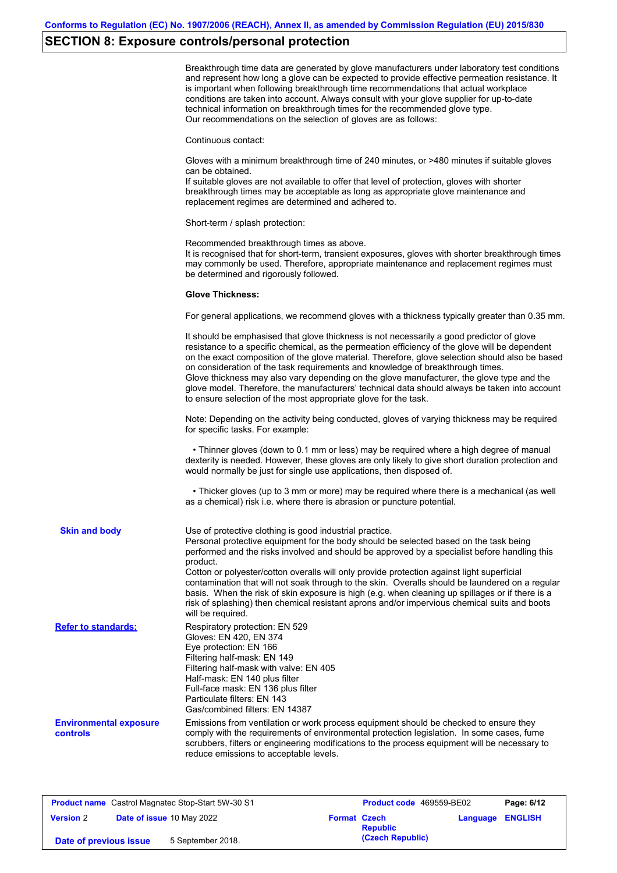# **SECTION 8: Exposure controls/personal protection**

|                                           | Breakthrough time data are generated by glove manufacturers under laboratory test conditions<br>and represent how long a glove can be expected to provide effective permeation resistance. It<br>is important when following breakthrough time recommendations that actual workplace<br>conditions are taken into account. Always consult with your glove supplier for up-to-date<br>technical information on breakthrough times for the recommended glove type.<br>Our recommendations on the selection of gloves are as follows:                                                                                                                                                    |
|-------------------------------------------|---------------------------------------------------------------------------------------------------------------------------------------------------------------------------------------------------------------------------------------------------------------------------------------------------------------------------------------------------------------------------------------------------------------------------------------------------------------------------------------------------------------------------------------------------------------------------------------------------------------------------------------------------------------------------------------|
|                                           | Continuous contact:                                                                                                                                                                                                                                                                                                                                                                                                                                                                                                                                                                                                                                                                   |
|                                           | Gloves with a minimum breakthrough time of 240 minutes, or >480 minutes if suitable gloves<br>can be obtained.<br>If suitable gloves are not available to offer that level of protection, gloves with shorter<br>breakthrough times may be acceptable as long as appropriate glove maintenance and<br>replacement regimes are determined and adhered to.                                                                                                                                                                                                                                                                                                                              |
|                                           | Short-term / splash protection:                                                                                                                                                                                                                                                                                                                                                                                                                                                                                                                                                                                                                                                       |
|                                           | Recommended breakthrough times as above.<br>It is recognised that for short-term, transient exposures, gloves with shorter breakthrough times<br>may commonly be used. Therefore, appropriate maintenance and replacement regimes must<br>be determined and rigorously followed.                                                                                                                                                                                                                                                                                                                                                                                                      |
|                                           | <b>Glove Thickness:</b>                                                                                                                                                                                                                                                                                                                                                                                                                                                                                                                                                                                                                                                               |
|                                           | For general applications, we recommend gloves with a thickness typically greater than 0.35 mm.                                                                                                                                                                                                                                                                                                                                                                                                                                                                                                                                                                                        |
|                                           | It should be emphasised that glove thickness is not necessarily a good predictor of glove<br>resistance to a specific chemical, as the permeation efficiency of the glove will be dependent<br>on the exact composition of the glove material. Therefore, glove selection should also be based<br>on consideration of the task requirements and knowledge of breakthrough times.<br>Glove thickness may also vary depending on the glove manufacturer, the glove type and the<br>glove model. Therefore, the manufacturers' technical data should always be taken into account<br>to ensure selection of the most appropriate glove for the task.                                     |
|                                           | Note: Depending on the activity being conducted, gloves of varying thickness may be required<br>for specific tasks. For example:                                                                                                                                                                                                                                                                                                                                                                                                                                                                                                                                                      |
|                                           | • Thinner gloves (down to 0.1 mm or less) may be required where a high degree of manual<br>dexterity is needed. However, these gloves are only likely to give short duration protection and<br>would normally be just for single use applications, then disposed of.                                                                                                                                                                                                                                                                                                                                                                                                                  |
|                                           | • Thicker gloves (up to 3 mm or more) may be required where there is a mechanical (as well<br>as a chemical) risk i.e. where there is abrasion or puncture potential.                                                                                                                                                                                                                                                                                                                                                                                                                                                                                                                 |
| <b>Skin and body</b>                      | Use of protective clothing is good industrial practice.<br>Personal protective equipment for the body should be selected based on the task being<br>performed and the risks involved and should be approved by a specialist before handling this<br>product.<br>Cotton or polyester/cotton overalls will only provide protection against light superficial<br>contamination that will not soak through to the skin. Overalls should be laundered on a regular<br>basis. When the risk of skin exposure is high (e.g. when cleaning up spillages or if there is a<br>risk of splashing) then chemical resistant aprons and/or impervious chemical suits and boots<br>will be required. |
| <b>Refer to standards:</b>                | Respiratory protection: EN 529<br>Gloves: EN 420, EN 374<br>Eye protection: EN 166<br>Filtering half-mask: EN 149<br>Filtering half-mask with valve: EN 405<br>Half-mask: EN 140 plus filter<br>Full-face mask: EN 136 plus filter<br>Particulate filters: EN 143<br>Gas/combined filters: EN 14387                                                                                                                                                                                                                                                                                                                                                                                   |
| <b>Environmental exposure</b><br>controls | Emissions from ventilation or work process equipment should be checked to ensure they<br>comply with the requirements of environmental protection legislation. In some cases, fume<br>scrubbers, filters or engineering modifications to the process equipment will be necessary to<br>reduce emissions to acceptable levels.                                                                                                                                                                                                                                                                                                                                                         |
|                                           |                                                                                                                                                                                                                                                                                                                                                                                                                                                                                                                                                                                                                                                                                       |

| <b>Product name</b> Castrol Magnatec Stop-Start 5W-30 S1 |  | <b>Product code</b> 469559-BE02 |                     | Page: 6/12       |                  |  |
|----------------------------------------------------------|--|---------------------------------|---------------------|------------------|------------------|--|
| <b>Version 2</b>                                         |  | Date of issue 10 May 2022       | <b>Format Czech</b> | <b>Republic</b>  | Language ENGLISH |  |
| Date of previous issue                                   |  | 5 September 2018.               |                     | (Czech Republic) |                  |  |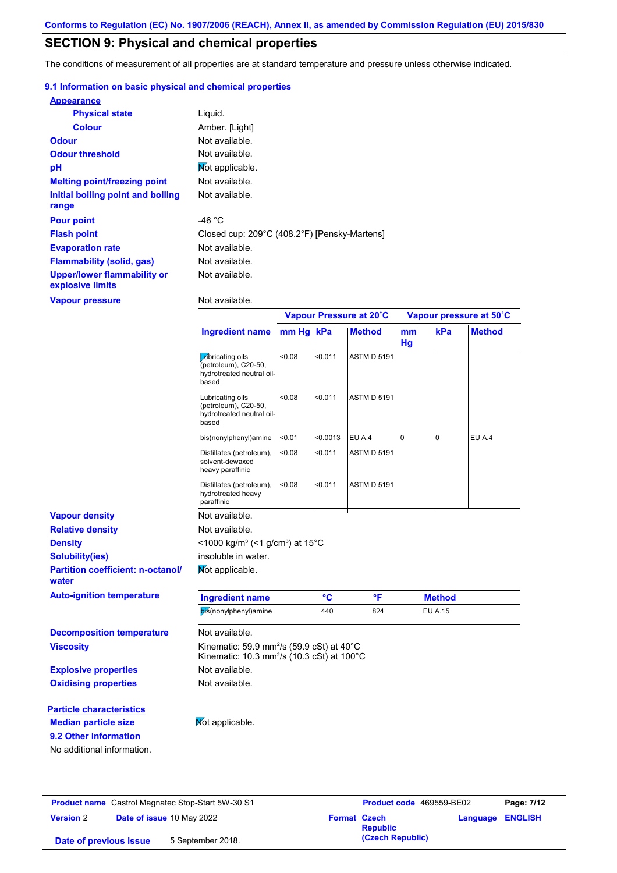## **SECTION 9: Physical and chemical properties**

The conditions of measurement of all properties are at standard temperature and pressure unless otherwise indicated.

### **9.1 Information on basic physical and chemical properties**

| <b>Appearance</b>                               |                                              |
|-------------------------------------------------|----------------------------------------------|
| <b>Physical state</b>                           | Liquid.                                      |
| <b>Colour</b>                                   | Amber. [Light]                               |
| <b>Odour</b>                                    | Not available.                               |
| <b>Odour threshold</b>                          | Not available.                               |
| pH                                              | Mot applicable.                              |
| <b>Melting point/freezing point</b>             | Not available.                               |
| Initial boiling point and boiling<br>range      | Not available.                               |
| <b>Pour point</b>                               | -46 $^{\circ}$ C                             |
| <b>Flash point</b>                              | Closed cup: 209°C (408.2°F) [Pensky-Martens] |
| <b>Evaporation rate</b>                         | Not available.                               |
| <b>Flammability (solid, gas)</b>                | Not available.                               |
| Upper/lower flammability or<br>explosive limits | Not available.                               |

**Vapour pressure**

Not available.

|                                                   |                                                                                                                            |        |          | Vapour Pressure at 20°C |          |                | Vapour pressure at 50°C |
|---------------------------------------------------|----------------------------------------------------------------------------------------------------------------------------|--------|----------|-------------------------|----------|----------------|-------------------------|
|                                                   | Ingredient name mm Hg kPa                                                                                                  |        |          | <b>Method</b>           | mm<br>Hg | kPa            | <b>Method</b>           |
|                                                   | Labricating oils<br>(petroleum), C20-50,<br>hydrotreated neutral oil-<br>based                                             | < 0.08 | < 0.011  | ASTM D 5191             |          |                |                         |
|                                                   | Lubricating oils<br>(petroleum), C20-50,<br>hydrotreated neutral oil-<br>based                                             | <0.08  | < 0.011  | <b>ASTM D 5191</b>      |          |                |                         |
|                                                   | bis(nonylphenyl)amine                                                                                                      | < 0.01 | < 0.0013 | EU A.4                  | 0        | 0              | EU A.4                  |
|                                                   | Distillates (petroleum),<br>solvent-dewaxed<br>heavy paraffinic                                                            | < 0.08 | < 0.011  | <b>ASTM D 5191</b>      |          |                |                         |
|                                                   | Distillates (petroleum),<br>hydrotreated heavy<br>paraffinic                                                               | < 0.08 | < 0.011  | <b>ASTM D 5191</b>      |          |                |                         |
| <b>Vapour density</b>                             | Not available.                                                                                                             |        |          |                         |          |                |                         |
| <b>Relative density</b>                           | Not available.                                                                                                             |        |          |                         |          |                |                         |
| <b>Density</b>                                    | <1000 kg/m <sup>3</sup> (<1 g/cm <sup>3</sup> ) at 15 <sup>°</sup> C                                                       |        |          |                         |          |                |                         |
| <b>Solubility(ies)</b>                            | insoluble in water.                                                                                                        |        |          |                         |          |                |                         |
| <b>Partition coefficient: n-octanol/</b><br>water | Not applicable.                                                                                                            |        |          |                         |          |                |                         |
| <b>Auto-ignition temperature</b>                  | <b>Ingredient name</b>                                                                                                     |        | °C       | °F                      |          | <b>Method</b>  |                         |
|                                                   | bis(nonylphenyl)amine                                                                                                      |        | 440      | 824                     |          | <b>EU A.15</b> |                         |
| <b>Decomposition temperature</b>                  | Not available.                                                                                                             |        |          |                         |          |                |                         |
| <b>Viscosity</b>                                  | Kinematic: 59.9 mm <sup>2</sup> /s (59.9 cSt) at 40°C<br>Kinematic: 10.3 mm <sup>2</sup> /s (10.3 cSt) at 100 $^{\circ}$ C |        |          |                         |          |                |                         |
| <b>Explosive properties</b>                       | Not available.                                                                                                             |        |          |                         |          |                |                         |
| <b>Oxidising properties</b>                       | Not available.                                                                                                             |        |          |                         |          |                |                         |
| <b>Particle characteristics</b>                   |                                                                                                                            |        |          |                         |          |                |                         |
| <b>Median particle size</b>                       | Not applicable.                                                                                                            |        |          |                         |          |                |                         |
|                                                   |                                                                                                                            |        |          |                         |          |                |                         |

**9.2 Other information**

No additional information.

**Product name** Castrol Magnatec Stop-Start 5W-30 S1 **Product Code** 469559-BE02 **Page: 7/12 Version** 2 **Date of issue** 10 May 2022 **Format Czech Republic Language ENGLISH (Czech Republic) Date of previous issue** 5 September 2018.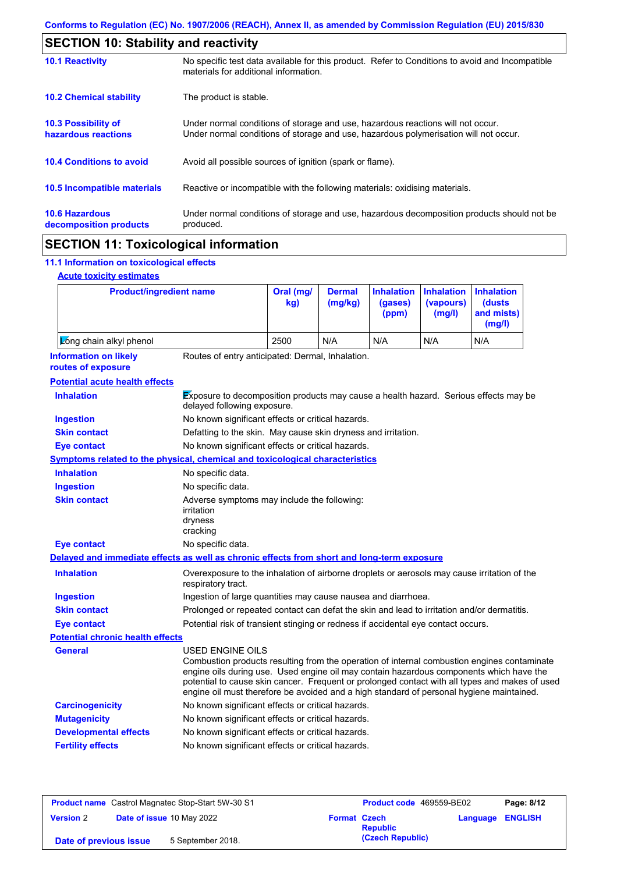|                                                   | <b>SECTION 10: Stability and reactivity</b>                                                                                                                             |  |  |  |  |
|---------------------------------------------------|-------------------------------------------------------------------------------------------------------------------------------------------------------------------------|--|--|--|--|
| <b>10.1 Reactivity</b>                            | No specific test data available for this product. Refer to Conditions to avoid and Incompatible<br>materials for additional information.                                |  |  |  |  |
| <b>10.2 Chemical stability</b>                    | The product is stable.                                                                                                                                                  |  |  |  |  |
| <b>10.3 Possibility of</b><br>hazardous reactions | Under normal conditions of storage and use, hazardous reactions will not occur.<br>Under normal conditions of storage and use, hazardous polymerisation will not occur. |  |  |  |  |
| <b>10.4 Conditions to avoid</b>                   | Avoid all possible sources of ignition (spark or flame).                                                                                                                |  |  |  |  |
| 10.5 Incompatible materials                       | Reactive or incompatible with the following materials: oxidising materials.                                                                                             |  |  |  |  |
| <b>10.6 Hazardous</b><br>decomposition products   | Under normal conditions of storage and use, hazardous decomposition products should not be<br>produced.                                                                 |  |  |  |  |
|                                                   |                                                                                                                                                                         |  |  |  |  |

# **SECTION 11: Toxicological information**

## **11.1 Information on toxicological effects**

| <b>Acute toxicity estimates</b> |
|---------------------------------|
|                                 |

| <b>Product/ingredient name</b>                                                             |                                                                                                                                                                                                                                                                                                                                                                                                                 | Oral (mg/<br>kg)                                                                           | <b>Dermal</b><br>(mg/kg) | <b>Inhalation</b><br>(gases)<br>(ppm) | <b>Inhalation</b><br>(vapours)<br>(mg/l) | <b>Inhalation</b><br>(dusts)<br>and mists)<br>(mg/l) |  |
|--------------------------------------------------------------------------------------------|-----------------------------------------------------------------------------------------------------------------------------------------------------------------------------------------------------------------------------------------------------------------------------------------------------------------------------------------------------------------------------------------------------------------|--------------------------------------------------------------------------------------------|--------------------------|---------------------------------------|------------------------------------------|------------------------------------------------------|--|
| Zong chain alkyl phenol                                                                    |                                                                                                                                                                                                                                                                                                                                                                                                                 | 2500                                                                                       | N/A                      | N/A                                   | N/A                                      | N/A                                                  |  |
| <b>Information on likely</b><br>routes of exposure                                         | Routes of entry anticipated: Dermal, Inhalation.                                                                                                                                                                                                                                                                                                                                                                |                                                                                            |                          |                                       |                                          |                                                      |  |
| <b>Potential acute health effects</b>                                                      |                                                                                                                                                                                                                                                                                                                                                                                                                 |                                                                                            |                          |                                       |                                          |                                                      |  |
| <b>Inhalation</b>                                                                          | Exposure to decomposition products may cause a health hazard. Serious effects may be<br>delayed following exposure.                                                                                                                                                                                                                                                                                             |                                                                                            |                          |                                       |                                          |                                                      |  |
| <b>Ingestion</b>                                                                           | No known significant effects or critical hazards.                                                                                                                                                                                                                                                                                                                                                               |                                                                                            |                          |                                       |                                          |                                                      |  |
| <b>Skin contact</b>                                                                        | Defatting to the skin. May cause skin dryness and irritation.                                                                                                                                                                                                                                                                                                                                                   |                                                                                            |                          |                                       |                                          |                                                      |  |
| <b>Eye contact</b>                                                                         | No known significant effects or critical hazards.                                                                                                                                                                                                                                                                                                                                                               |                                                                                            |                          |                                       |                                          |                                                      |  |
| <b>Symptoms related to the physical, chemical and toxicological characteristics</b>        |                                                                                                                                                                                                                                                                                                                                                                                                                 |                                                                                            |                          |                                       |                                          |                                                      |  |
| <b>Inhalation</b>                                                                          | No specific data.                                                                                                                                                                                                                                                                                                                                                                                               |                                                                                            |                          |                                       |                                          |                                                      |  |
| <b>Ingestion</b>                                                                           | No specific data.                                                                                                                                                                                                                                                                                                                                                                                               |                                                                                            |                          |                                       |                                          |                                                      |  |
| <b>Skin contact</b>                                                                        | Adverse symptoms may include the following:<br>irritation<br>dryness<br>cracking                                                                                                                                                                                                                                                                                                                                |                                                                                            |                          |                                       |                                          |                                                      |  |
| <b>Eye contact</b>                                                                         | No specific data.                                                                                                                                                                                                                                                                                                                                                                                               |                                                                                            |                          |                                       |                                          |                                                      |  |
| Delayed and immediate effects as well as chronic effects from short and long-term exposure |                                                                                                                                                                                                                                                                                                                                                                                                                 |                                                                                            |                          |                                       |                                          |                                                      |  |
| <b>Inhalation</b>                                                                          | Overexposure to the inhalation of airborne droplets or aerosols may cause irritation of the<br>respiratory tract.                                                                                                                                                                                                                                                                                               |                                                                                            |                          |                                       |                                          |                                                      |  |
| <b>Ingestion</b>                                                                           |                                                                                                                                                                                                                                                                                                                                                                                                                 | Ingestion of large quantities may cause nausea and diarrhoea.                              |                          |                                       |                                          |                                                      |  |
| <b>Skin contact</b>                                                                        |                                                                                                                                                                                                                                                                                                                                                                                                                 | Prolonged or repeated contact can defat the skin and lead to irritation and/or dermatitis. |                          |                                       |                                          |                                                      |  |
| <b>Eye contact</b>                                                                         |                                                                                                                                                                                                                                                                                                                                                                                                                 | Potential risk of transient stinging or redness if accidental eye contact occurs.          |                          |                                       |                                          |                                                      |  |
| <b>Potential chronic health effects</b>                                                    |                                                                                                                                                                                                                                                                                                                                                                                                                 |                                                                                            |                          |                                       |                                          |                                                      |  |
| General                                                                                    | <b>USED ENGINE OILS</b><br>Combustion products resulting from the operation of internal combustion engines contaminate<br>engine oils during use. Used engine oil may contain hazardous components which have the<br>potential to cause skin cancer. Frequent or prolonged contact with all types and makes of used<br>engine oil must therefore be avoided and a high standard of personal hygiene maintained. |                                                                                            |                          |                                       |                                          |                                                      |  |
| <b>Carcinogenicity</b>                                                                     | No known significant effects or critical hazards.                                                                                                                                                                                                                                                                                                                                                               |                                                                                            |                          |                                       |                                          |                                                      |  |
| <b>Mutagenicity</b>                                                                        | No known significant effects or critical hazards.                                                                                                                                                                                                                                                                                                                                                               |                                                                                            |                          |                                       |                                          |                                                      |  |
| <b>Developmental effects</b>                                                               | No known significant effects or critical hazards.                                                                                                                                                                                                                                                                                                                                                               |                                                                                            |                          |                                       |                                          |                                                      |  |
| <b>Fertility effects</b>                                                                   | No known significant effects or critical hazards.                                                                                                                                                                                                                                                                                                                                                               |                                                                                            |                          |                                       |                                          |                                                      |  |

| <b>Product name</b> Castrol Magnatec Stop-Start 5W-30 S1 |  | <b>Product code</b> 469559-BE02 |                     | Page: 8/12       |                         |  |
|----------------------------------------------------------|--|---------------------------------|---------------------|------------------|-------------------------|--|
| <b>Version 2</b>                                         |  | Date of issue 10 May 2022       | <b>Format Czech</b> | <b>Republic</b>  | <b>Language ENGLISH</b> |  |
| Date of previous issue                                   |  | 5 September 2018.               |                     | (Czech Republic) |                         |  |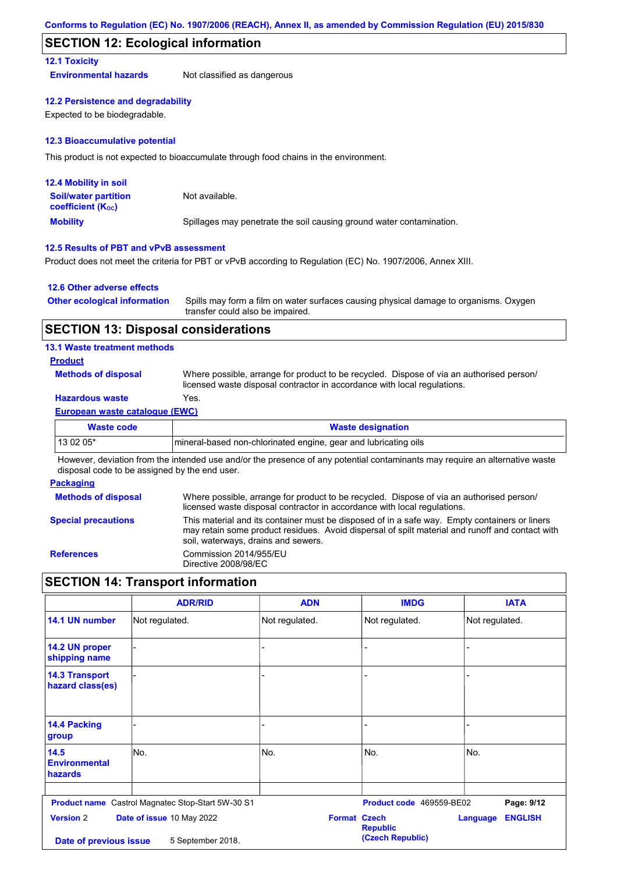## **SECTION 12: Ecological information**

### **12.1 Toxicity**

**Environmental hazards** Not classified as dangerous

#### **12.2 Persistence and degradability**

Expected to be biodegradable.

#### **12.3 Bioaccumulative potential**

This product is not expected to bioaccumulate through food chains in the environment.

| <b>12.4 Mobility in soil</b>                                  |                                                                      |
|---------------------------------------------------------------|----------------------------------------------------------------------|
| <b>Soil/water partition</b><br>coefficient (K <sub>oc</sub> ) | Not available.                                                       |
| <b>Mobility</b>                                               | Spillages may penetrate the soil causing ground water contamination. |

### **12.5 Results of PBT and vPvB assessment**

Product does not meet the criteria for PBT or vPvB according to Regulation (EC) No. 1907/2006, Annex XIII.

### **12.6 Other adverse effects**

| <b>Other ecological information</b> | Spills may form a film on water surfaces causing physical damage to organisms. Oxygen |
|-------------------------------------|---------------------------------------------------------------------------------------|
|                                     | transfer could also be impaired.                                                      |

### **SECTION 13: Disposal considerations**

### **13.1 Waste treatment methods**

### **Product**

**Methods of disposal**

Where possible, arrange for product to be recycled. Dispose of via an authorised person/ licensed waste disposal contractor in accordance with local regulations.

## **Hazardous waste** Yes.

### **European waste catalogue (EWC)**

| Waste code | <b>Waste designation</b>                                         |
|------------|------------------------------------------------------------------|
| $130205*$  | Imineral-based non-chlorinated engine, gear and lubricating oils |

However, deviation from the intended use and/or the presence of any potential contaminants may require an alternative waste disposal code to be assigned by the end user.

#### **Packaging**

| <b>Methods of disposal</b> | Where possible, arrange for product to be recycled. Dispose of via an authorised person/<br>licensed waste disposal contractor in accordance with local regulations.                                                                    |
|----------------------------|-----------------------------------------------------------------------------------------------------------------------------------------------------------------------------------------------------------------------------------------|
| <b>Special precautions</b> | This material and its container must be disposed of in a safe way. Empty containers or liners<br>may retain some product residues. Avoid dispersal of spilt material and runoff and contact with<br>soil, waterways, drains and sewers. |
| <b>References</b>          | Commission 2014/955/EU<br>Directive 2008/98/EC                                                                                                                                                                                          |

## **SECTION 14: Transport information**

|                                                | <b>ADR/RID</b>                                    | <b>ADN</b>          | <b>IMDG</b>                         | <b>IATA</b>                       |
|------------------------------------------------|---------------------------------------------------|---------------------|-------------------------------------|-----------------------------------|
| 14.1 UN number                                 | Not regulated.                                    | Not regulated.      | Not regulated.                      | Not regulated.                    |
| 14.2 UN proper<br>shipping name                |                                                   |                     |                                     |                                   |
| <b>14.3 Transport</b><br>hazard class(es)      |                                                   |                     |                                     |                                   |
| 14.4 Packing<br>group                          |                                                   |                     |                                     |                                   |
| 14.5<br><b>Environmental</b><br><b>hazards</b> | No.                                               | No.                 | No.                                 | No.                               |
|                                                | Product name Castrol Magnatec Stop-Start 5W-30 S1 |                     | Product code 469559-BE02            | Page: 9/12                        |
| <b>Version 2</b><br>Date of previous issue     | Date of issue 10 May 2022<br>5 September 2018.    | <b>Format Czech</b> | <b>Republic</b><br>(Czech Republic) | <b>ENGLISH</b><br><b>Language</b> |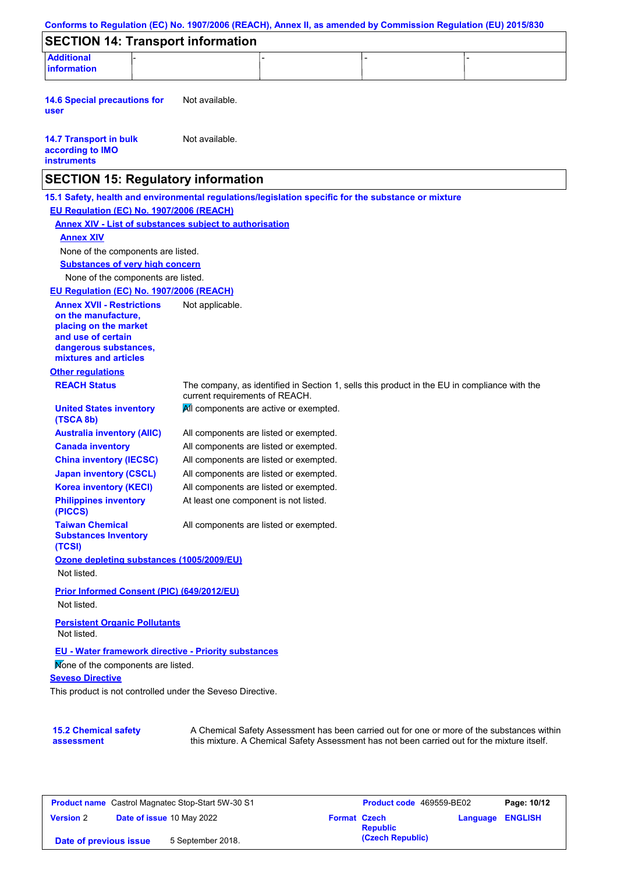| <b>SECTION 14: Transport information</b>                                                            |                                        |  |                                                                                              |
|-----------------------------------------------------------------------------------------------------|----------------------------------------|--|----------------------------------------------------------------------------------------------|
| <b>Additional</b><br><b>information</b>                                                             |                                        |  |                                                                                              |
|                                                                                                     |                                        |  |                                                                                              |
| <b>14.6 Special precautions for</b><br>user                                                         | Not available.                         |  |                                                                                              |
| <b>14.7 Transport in bulk</b><br>according to IMO<br><b>instruments</b>                             | Not available.                         |  |                                                                                              |
| <b>SECTION 15: Regulatory information</b>                                                           |                                        |  |                                                                                              |
| 15.1 Safety, health and environmental regulations/legislation specific for the substance or mixture |                                        |  |                                                                                              |
| EU Regulation (EC) No. 1907/2006 (REACH)                                                            |                                        |  |                                                                                              |
| <b>Annex XIV - List of substances subject to authorisation</b>                                      |                                        |  |                                                                                              |
| <b>Annex XIV</b>                                                                                    |                                        |  |                                                                                              |
| None of the components are listed.                                                                  |                                        |  |                                                                                              |
| <b>Substances of very high concern</b>                                                              |                                        |  |                                                                                              |
| None of the components are listed.                                                                  |                                        |  |                                                                                              |
| EU Regulation (EC) No. 1907/2006 (REACH)                                                            |                                        |  |                                                                                              |
| <b>Annex XVII - Restrictions</b>                                                                    | Not applicable.                        |  |                                                                                              |
| on the manufacture,<br>placing on the market                                                        |                                        |  |                                                                                              |
| and use of certain                                                                                  |                                        |  |                                                                                              |
| dangerous substances,                                                                               |                                        |  |                                                                                              |
| mixtures and articles                                                                               |                                        |  |                                                                                              |
| <b>Other regulations</b>                                                                            |                                        |  |                                                                                              |
| <b>REACH Status</b>                                                                                 | current requirements of REACH.         |  | The company, as identified in Section 1, sells this product in the EU in compliance with the |
| <b>United States inventory</b><br>(TSCA 8b)                                                         | All components are active or exempted. |  |                                                                                              |
| <b>Australia inventory (AIIC)</b>                                                                   | All components are listed or exempted. |  |                                                                                              |
| <b>Canada inventory</b>                                                                             | All components are listed or exempted. |  |                                                                                              |
| <b>China inventory (IECSC)</b>                                                                      | All components are listed or exempted. |  |                                                                                              |
| <b>Japan inventory (CSCL)</b>                                                                       | All components are listed or exempted. |  |                                                                                              |
| <b>Korea inventory (KECI)</b>                                                                       | All components are listed or exempted. |  |                                                                                              |
| <b>Philippines inventory</b><br>(PICCS)                                                             | At least one component is not listed.  |  |                                                                                              |
| <b>Taiwan Chemical</b><br><b>Substances Inventory</b><br>(TCSI)                                     | All components are listed or exempted. |  |                                                                                              |
| Ozone depleting substances (1005/2009/EU)                                                           |                                        |  |                                                                                              |
| Not listed.                                                                                         |                                        |  |                                                                                              |
| <b>Prior Informed Consent (PIC) (649/2012/EU)</b>                                                   |                                        |  |                                                                                              |
| Not listed.                                                                                         |                                        |  |                                                                                              |
|                                                                                                     |                                        |  |                                                                                              |
| <b>Persistent Organic Pollutants</b><br>Not listed.                                                 |                                        |  |                                                                                              |
| <b>EU - Water framework directive - Priority substances</b>                                         |                                        |  |                                                                                              |
| Mone of the components are listed.                                                                  |                                        |  |                                                                                              |
| <b>Seveso Directive</b>                                                                             |                                        |  |                                                                                              |
| This product is not controlled under the Seveso Directive.                                          |                                        |  |                                                                                              |
|                                                                                                     |                                        |  |                                                                                              |
| <b>15.2 Chemical safety</b>                                                                         |                                        |  | A Chemical Safety Assessment has been carried out for one or more of the substances within   |

| <b>Product name</b> Castrol Magnatec Stop-Start 5W-30 S1 |  | <b>Product code</b> 469559-BE02 |  | Page: 10/12                            |                         |  |
|----------------------------------------------------------|--|---------------------------------|--|----------------------------------------|-------------------------|--|
| <b>Version 2</b>                                         |  | Date of issue 10 May 2022       |  | <b>Format Czech</b><br><b>Republic</b> | <b>Language ENGLISH</b> |  |
| Date of previous issue                                   |  | 5 September 2018.               |  | (Czech Republic)                       |                         |  |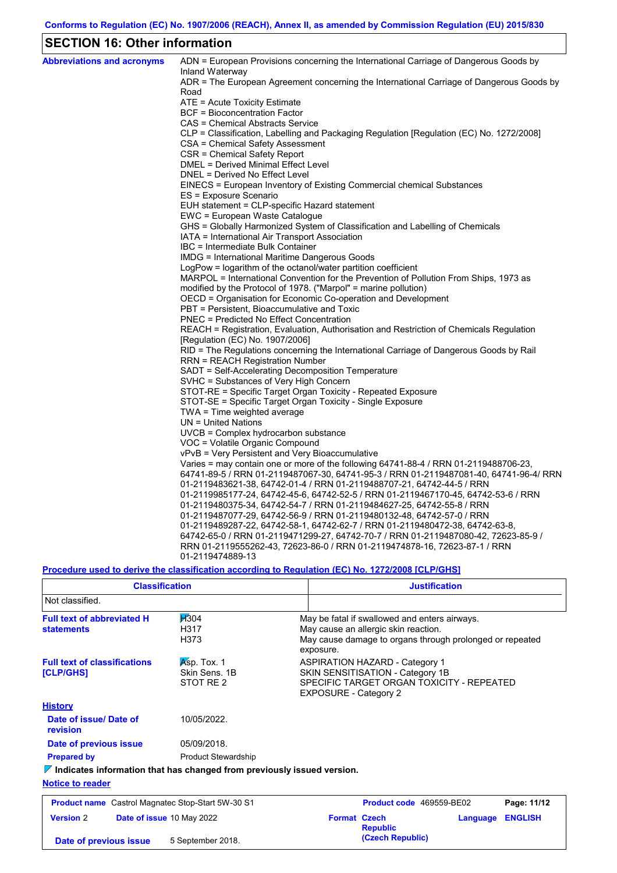## **SECTION 16: Other information**

| <b>Abbreviations and acronyms</b> | ADN = European Provisions concerning the International Carriage of Dangerous Goods by<br>Inland Waterway |
|-----------------------------------|----------------------------------------------------------------------------------------------------------|
|                                   | ADR = The European Agreement concerning the International Carriage of Dangerous Goods by                 |
|                                   | Road                                                                                                     |
|                                   | ATE = Acute Toxicity Estimate                                                                            |
|                                   | BCF = Bioconcentration Factor                                                                            |
|                                   | CAS = Chemical Abstracts Service                                                                         |
|                                   | CLP = Classification, Labelling and Packaging Regulation [Regulation (EC) No. 1272/2008]                 |
|                                   | CSA = Chemical Safety Assessment                                                                         |
|                                   | CSR = Chemical Safety Report                                                                             |
|                                   | DMEL = Derived Minimal Effect Level                                                                      |
|                                   | DNEL = Derived No Effect Level                                                                           |
|                                   | EINECS = European Inventory of Existing Commercial chemical Substances                                   |
|                                   | ES = Exposure Scenario                                                                                   |
|                                   | EUH statement = CLP-specific Hazard statement                                                            |
|                                   | EWC = European Waste Catalogue                                                                           |
|                                   | GHS = Globally Harmonized System of Classification and Labelling of Chemicals                            |
|                                   | IATA = International Air Transport Association<br>IBC = Intermediate Bulk Container                      |
|                                   | IMDG = International Maritime Dangerous Goods                                                            |
|                                   | $LogPow = logarithm$ of the octanol/water partition coefficient                                          |
|                                   | MARPOL = International Convention for the Prevention of Pollution From Ships, 1973 as                    |
|                                   | modified by the Protocol of 1978. ("Marpol" = marine pollution)                                          |
|                                   | OECD = Organisation for Economic Co-operation and Development                                            |
|                                   | PBT = Persistent, Bioaccumulative and Toxic                                                              |
|                                   | <b>PNEC = Predicted No Effect Concentration</b>                                                          |
|                                   | REACH = Registration, Evaluation, Authorisation and Restriction of Chemicals Regulation                  |
|                                   | [Regulation (EC) No. 1907/2006]                                                                          |
|                                   | RID = The Regulations concerning the International Carriage of Dangerous Goods by Rail                   |
|                                   | <b>RRN = REACH Registration Number</b>                                                                   |
|                                   | SADT = Self-Accelerating Decomposition Temperature                                                       |
|                                   | SVHC = Substances of Very High Concern                                                                   |
|                                   | STOT-RE = Specific Target Organ Toxicity - Repeated Exposure                                             |
|                                   | STOT-SE = Specific Target Organ Toxicity - Single Exposure                                               |
|                                   | TWA = Time weighted average                                                                              |
|                                   | $UN = United Nations$                                                                                    |
|                                   | $UVCB = Complex\;hydrocarbon\; substance$                                                                |
|                                   | VOC = Volatile Organic Compound                                                                          |
|                                   | vPvB = Very Persistent and Very Bioaccumulative                                                          |
|                                   | Varies = may contain one or more of the following $64741-88-4$ / RRN 01-2119488706-23,                   |
|                                   | 64741-89-5 / RRN 01-2119487067-30, 64741-95-3 / RRN 01-2119487081-40, 64741-96-4/ RRN                    |
|                                   | 01-2119483621-38, 64742-01-4 / RRN 01-2119488707-21, 64742-44-5 / RRN                                    |
|                                   | 01-2119985177-24, 64742-45-6, 64742-52-5 / RRN 01-2119467170-45, 64742-53-6 / RRN                        |
|                                   | 01-2119480375-34, 64742-54-7 / RRN 01-2119484627-25, 64742-55-8 / RRN                                    |
|                                   | 01-2119487077-29, 64742-56-9 / RRN 01-2119480132-48, 64742-57-0 / RRN                                    |
|                                   | 01-2119489287-22, 64742-58-1, 64742-62-7 / RRN 01-2119480472-38, 64742-63-8,                             |
|                                   | 64742-65-0 / RRN 01-2119471299-27, 64742-70-7 / RRN 01-2119487080-42, 72623-85-9 /                       |
|                                   | RRN 01-2119555262-43, 72623-86-0 / RRN 01-2119474878-16, 72623-87-1 / RRN                                |
|                                   | 01-2119474889-13                                                                                         |

**Procedure used to derive the classification according to Regulation (EC) No. 1272/2008 [CLP/GHS]**

**(Czech Republic) Date of previous issue** 5 September 2018.

| <b>Classification</b>                                                           |                                                                                       |                     | <b>Justification</b>                                                      |          |                |  |
|---------------------------------------------------------------------------------|---------------------------------------------------------------------------------------|---------------------|---------------------------------------------------------------------------|----------|----------------|--|
| Not classified.                                                                 |                                                                                       |                     |                                                                           |          |                |  |
| <b>Full text of abbreviated H</b><br><b>statements</b>                          | May be fatal if swallowed and enters airways.<br>May cause an allergic skin reaction. |                     |                                                                           |          |                |  |
|                                                                                 | H373                                                                                  | exposure.           | May cause damage to organs through prolonged or repeated                  |          |                |  |
| <b>Full text of classifications</b>                                             | $Asp.$ Tox. 1                                                                         |                     | ASPIRATION HAZARD - Category 1                                            |          |                |  |
| [CLP/GHS]                                                                       | Skin Sens, 1B                                                                         |                     | SKIN SENSITISATION - Category 1B                                          |          |                |  |
|                                                                                 | STOT RE 2                                                                             |                     | SPECIFIC TARGET ORGAN TOXICITY - REPEATED<br><b>EXPOSURE - Category 2</b> |          |                |  |
| <b>History</b>                                                                  |                                                                                       |                     |                                                                           |          |                |  |
| Date of issue/Date of<br>revision                                               | 10/05/2022.                                                                           |                     |                                                                           |          |                |  |
| Date of previous issue                                                          | 05/09/2018.                                                                           |                     |                                                                           |          |                |  |
| <b>Prepared by</b>                                                              | <b>Product Stewardship</b>                                                            |                     |                                                                           |          |                |  |
| $\nabla$ Indicates information that has changed from previously issued version. |                                                                                       |                     |                                                                           |          |                |  |
| <b>Notice to reader</b>                                                         |                                                                                       |                     |                                                                           |          |                |  |
| <b>Product name</b> Castrol Magnatec Stop-Start 5W-30 S1                        |                                                                                       |                     | Product code 469559-BE02                                                  |          | Page: 11/12    |  |
| <b>Version 2</b>                                                                | Date of issue 10 May 2022                                                             | <b>Format Czech</b> | <b>Republic</b>                                                           | Language | <b>ENGLISH</b> |  |